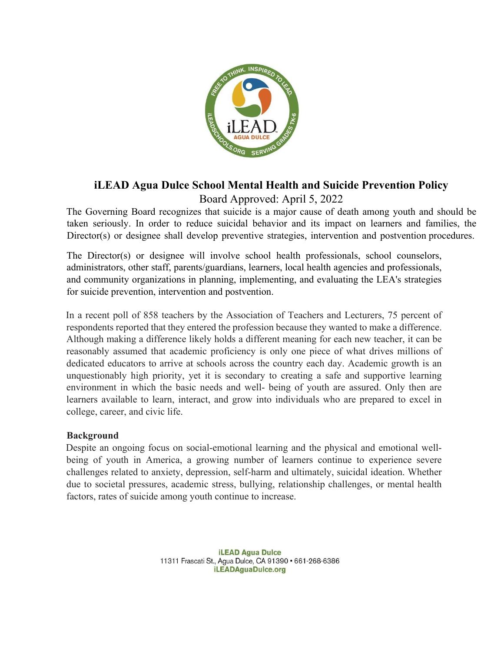

# **iLEAD Agua Dulce School Mental Health and Suicide Prevention Policy** Board Approved: April 5, 2022

The Governing Board recognizes that suicide is a major cause of death among youth and should be taken seriously. In order to reduce suicidal behavior and its impact on learners and families, the Director(s) or designee shall develop preventive strategies, intervention and postvention procedures.

The Director(s) or designee will involve school health professionals, school counselors, administrators, other staff, parents/guardians, learners, local health agencies and professionals, and community organizations in planning, implementing, and evaluating the LEA's strategies for suicide prevention, intervention and postvention.

In a recent poll of 858 teachers by the Association of Teachers and Lecturers, 75 percent of respondents reported that they entered the profession because they wanted to make a difference. Although making a difference likely holds a different meaning for each new teacher, it can be reasonably assumed that academic proficiency is only one piece of what drives millions of dedicated educators to arrive at schools across the country each day. Academic growth is an unquestionably high priority, yet it is secondary to creating a safe and supportive learning environment in which the basic needs and well- being of youth are assured. Only then are learners available to learn, interact, and grow into individuals who are prepared to excel in college, career, and civic life.

# **Background**

Despite an ongoing focus on social-emotional learning and the physical and emotional wellbeing of youth in America, a growing number of learners continue to experience severe challenges related to anxiety, depression, self-harm and ultimately, suicidal ideation. Whether due to societal pressures, academic stress, bullying, relationship challenges, or mental health factors, rates of suicide among youth continue to increase.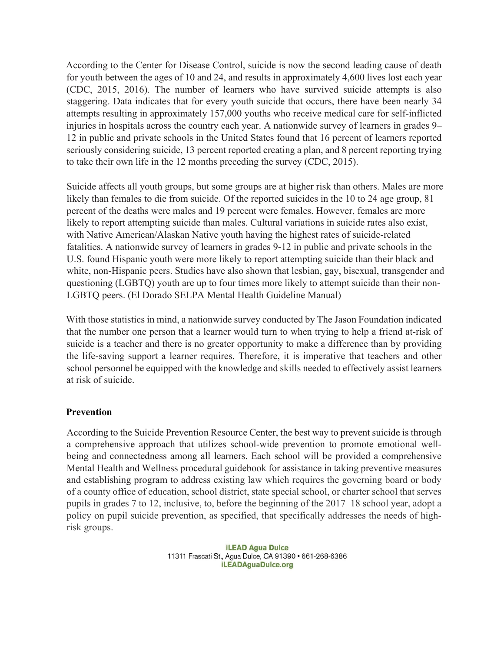According to the Center for Disease Control, suicide is now the second leading cause of death for youth between the ages of 10 and 24, and results in approximately 4,600 lives lost each year (CDC, 2015, 2016). The number of learners who have survived suicide attempts is also staggering. Data indicates that for every youth suicide that occurs, there have been nearly 34 attempts resulting in approximately 157,000 youths who receive medical care for self-inflicted injuries in hospitals across the country each year. A nationwide survey of learners in grades 9– 12 in public and private schools in the United States found that 16 percent of learners reported seriously considering suicide, 13 percent reported creating a plan, and 8 percent reporting trying to take their own life in the 12 months preceding the survey (CDC, 2015).

Suicide affects all youth groups, but some groups are at higher risk than others. Males are more likely than females to die from suicide. Of the reported suicides in the 10 to 24 age group, 81 percent of the deaths were males and 19 percent were females. However, females are more likely to report attempting suicide than males. Cultural variations in suicide rates also exist, with Native American/Alaskan Native youth having the highest rates of suicide-related fatalities. A nationwide survey of learners in grades 9-12 in public and private schools in the U.S. found Hispanic youth were more likely to report attempting suicide than their black and white, non-Hispanic peers. Studies have also shown that lesbian, gay, bisexual, transgender and questioning (LGBTQ) youth are up to four times more likely to attempt suicide than their non-LGBTQ peers. (El Dorado SELPA Mental Health Guideline Manual)

With those statistics in mind, a nationwide survey conducted by The Jason Foundation indicated that the number one person that a learner would turn to when trying to help a friend at-risk of suicide is a teacher and there is no greater opportunity to make a difference than by providing the life-saving support a learner requires. Therefore, it is imperative that teachers and other school personnel be equipped with the knowledge and skills needed to effectively assist learners at risk of suicide.

#### **Prevention**

According to the Suicide Prevention Resource Center, the best way to prevent suicide is through a comprehensive approach that utilizes school-wide prevention to promote emotional wellbeing and connectedness among all learners. Each school will be provided a comprehensive Mental Health and Wellness procedural guidebook for assistance in taking preventive measures and establishing program to address existing law which requires the governing board or body of a county office of education, school district, state special school, or charter school that serves pupils in grades 7 to 12, inclusive, to, before the beginning of the 2017–18 school year, adopt a policy on pupil suicide prevention, as specified, that specifically addresses the needs of highrisk groups.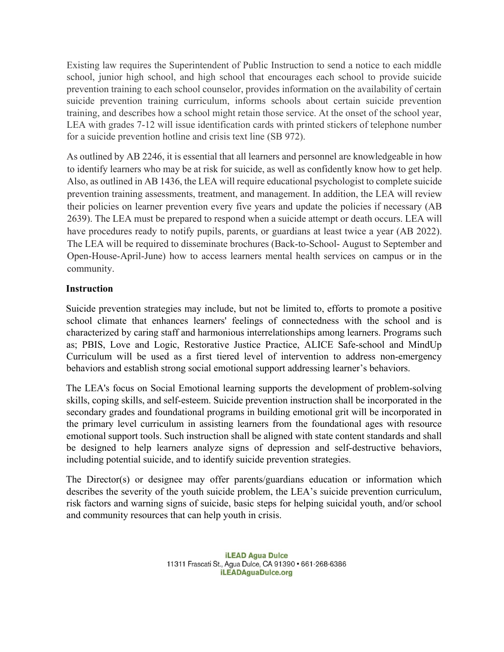Existing law requires the Superintendent of Public Instruction to send a notice to each middle school, junior high school, and high school that encourages each school to provide suicide prevention training to each school counselor, provides information on the availability of certain suicide prevention training curriculum, informs schools about certain suicide prevention training, and describes how a school might retain those service. At the onset of the school year, LEA with grades 7-12 will issue identification cards with printed stickers of telephone number for a suicide prevention hotline and crisis text line (SB 972).

As outlined by AB 2246, it is essential that all learners and personnel are knowledgeable in how to identify learners who may be at risk for suicide, as well as confidently know how to get help. Also, as outlined in AB 1436, the LEA will require educational psychologist to complete suicide prevention training assessments, treatment, and management. In addition, the LEA will review their policies on learner prevention every five years and update the policies if necessary (AB 2639). The LEA must be prepared to respond when a suicide attempt or death occurs. LEA will have procedures ready to notify pupils, parents, or guardians at least twice a year (AB 2022). The LEA will be required to disseminate brochures (Back-to-School- August to September and Open-House-April-June) how to access learners mental health services on campus or in the community.

## **Instruction**

Suicide prevention strategies may include, but not be limited to, efforts to promote a positive school climate that enhances learners' feelings of connectedness with the school and is characterized by caring staff and harmonious interrelationships among learners. Programs such as; PBIS, Love and Logic, Restorative Justice Practice, ALICE Safe-school and MindUp Curriculum will be used as a first tiered level of intervention to address non-emergency behaviors and establish strong social emotional support addressing learner's behaviors.

The LEA's focus on Social Emotional learning supports the development of problem-solving skills, coping skills, and self-esteem. Suicide prevention instruction shall be incorporated in the secondary grades and foundational programs in building emotional grit will be incorporated in the primary level curriculum in assisting learners from the foundational ages with resource emotional support tools. Such instruction shall be aligned with state content standards and shall be designed to help learners analyze signs of depression and self-destructive behaviors, including potential suicide, and to identify suicide prevention strategies.

The Director(s) or designee may offer parents/guardians education or information which describes the severity of the youth suicide problem, the LEA's suicide prevention curriculum, risk factors and warning signs of suicide, basic steps for helping suicidal youth, and/or school and community resources that can help youth in crisis.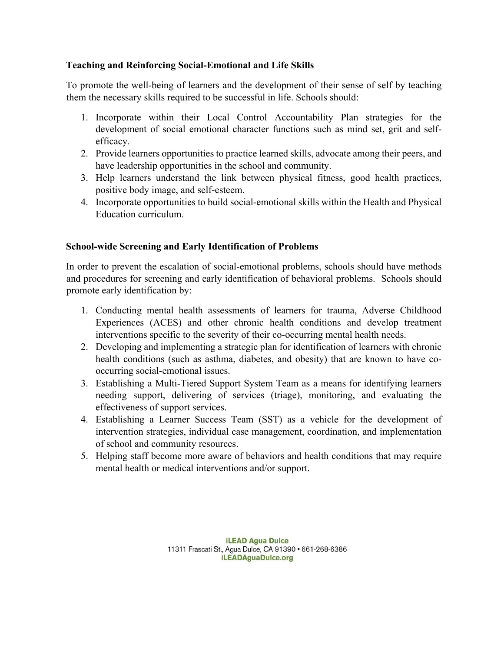# **Teaching and Reinforcing Social-Emotional and Life Skills**

To promote the well-being of learners and the development of their sense of self by teaching them the necessary skills required to be successful in life. Schools should:

- 1. Incorporate within their Local Control Accountability Plan strategies for the development of social emotional character functions such as mind set, grit and selfefficacy.
- 2. Provide learners opportunities to practice learned skills, advocate among their peers, and have leadership opportunities in the school and community.
- 3. Help learners understand the link between physical fitness, good health practices, positive body image, and self-esteem.
- 4. Incorporate opportunities to build social-emotional skills within the Health and Physical Education curriculum.

## **School-wide Screening and Early Identification of Problems**

In order to prevent the escalation of social-emotional problems, schools should have methods and procedures for screening and early identification of behavioral problems. Schools should promote early identification by:

- 1. Conducting mental health assessments of learners for trauma, Adverse Childhood Experiences (ACES) and other chronic health conditions and develop treatment interventions specific to the severity of their co-occurring mental health needs.
- 2. Developing and implementing a strategic plan for identification of learners with chronic health conditions (such as asthma, diabetes, and obesity) that are known to have cooccurring social-emotional issues.
- 3. Establishing a Multi-Tiered Support System Team as a means for identifying learners needing support, delivering of services (triage), monitoring, and evaluating the effectiveness of support services.
- 4. Establishing a Learner Success Team (SST) as a vehicle for the development of intervention strategies, individual case management, coordination, and implementation of school and community resources.
- 5. Helping staff become more aware of behaviors and health conditions that may require mental health or medical interventions and/or support.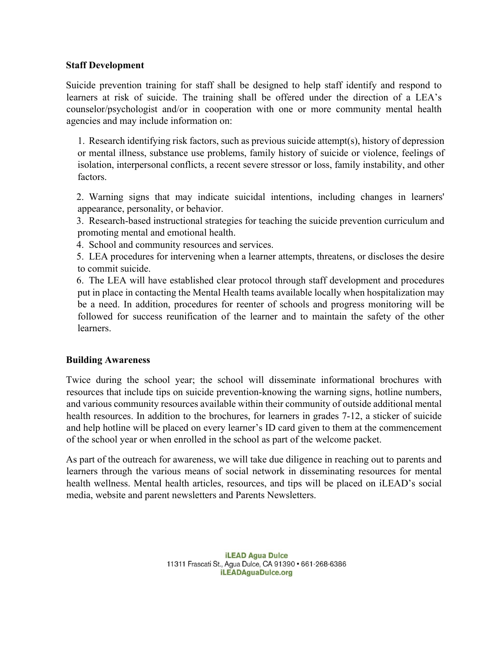### **Staff Development**

Suicide prevention training for staff shall be designed to help staff identify and respond to learners at risk of suicide. The training shall be offered under the direction of a LEA's counselor/psychologist and/or in cooperation with one or more community mental health agencies and may include information on:

1. Research identifying risk factors, such as previous suicide attempt(s), history of depression or mental illness, substance use problems, family history of suicide or violence, feelings of isolation, interpersonal conflicts, a recent severe stressor or loss, family instability, and other factors.

2. Warning signs that may indicate suicidal intentions, including changes in learners' appearance, personality, or behavior.

3. Research-based instructional strategies for teaching the suicide prevention curriculum and promoting mental and emotional health.

4. School and community resources and services.

5. LEA procedures for intervening when a learner attempts, threatens, or discloses the desire to commit suicide.

6. The LEA will have established clear protocol through staff development and procedures put in place in contacting the Mental Health teams available locally when hospitalization may be a need. In addition, procedures for reenter of schools and progress monitoring will be followed for success reunification of the learner and to maintain the safety of the other learners.

# **Building Awareness**

Twice during the school year; the school will disseminate informational brochures with resources that include tips on suicide prevention-knowing the warning signs, hotline numbers, and various community resources available within their community of outside additional mental health resources. In addition to the brochures, for learners in grades 7-12, a sticker of suicide and help hotline will be placed on every learner's ID card given to them at the commencement of the school year or when enrolled in the school as part of the welcome packet.

As part of the outreach for awareness, we will take due diligence in reaching out to parents and learners through the various means of social network in disseminating resources for mental health wellness. Mental health articles, resources, and tips will be placed on iLEAD's social media, website and parent newsletters and Parents Newsletters.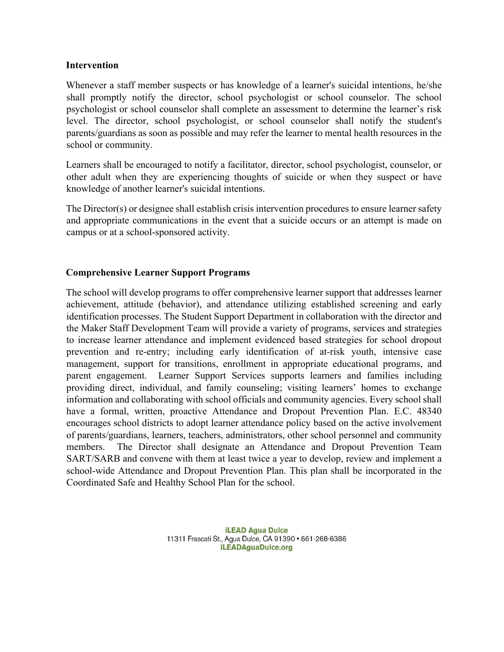#### **Intervention**

Whenever a staff member suspects or has knowledge of a learner's suicidal intentions, he/she shall promptly notify the director, school psychologist or school counselor. The school psychologist or school counselor shall complete an assessment to determine the learner's risk level. The director, school psychologist, or school counselor shall notify the student's parents/guardians as soon as possible and may refer the learner to mental health resources in the school or community.

Learners shall be encouraged to notify a facilitator, director, school psychologist, counselor, or other adult when they are experiencing thoughts of suicide or when they suspect or have knowledge of another learner's suicidal intentions.

The Director(s) or designee shall establish crisis intervention procedures to ensure learner safety and appropriate communications in the event that a suicide occurs or an attempt is made on campus or at a school-sponsored activity.

#### **Comprehensive Learner Support Programs**

The school will develop programs to offer comprehensive learner support that addresses learner achievement, attitude (behavior), and attendance utilizing established screening and early identification processes. The Student Support Department in collaboration with the director and the Maker Staff Development Team will provide a variety of programs, services and strategies to increase learner attendance and implement evidenced based strategies for school dropout prevention and re-entry; including early identification of at-risk youth, intensive case management, support for transitions, enrollment in appropriate educational programs, and parent engagement. Learner Support Services supports learners and families including providing direct, individual, and family counseling; visiting learners' homes to exchange information and collaborating with school officials and community agencies. Every school shall have a formal, written, proactive Attendance and Dropout Prevention Plan. E.C. 48340 encourages school districts to adopt learner attendance policy based on the active involvement of parents/guardians, learners, teachers, administrators, other school personnel and community members. The Director shall designate an Attendance and Dropout Prevention Team SART/SARB and convene with them at least twice a year to develop, review and implement a school-wide Attendance and Dropout Prevention Plan. This plan shall be incorporated in the Coordinated Safe and Healthy School Plan for the school.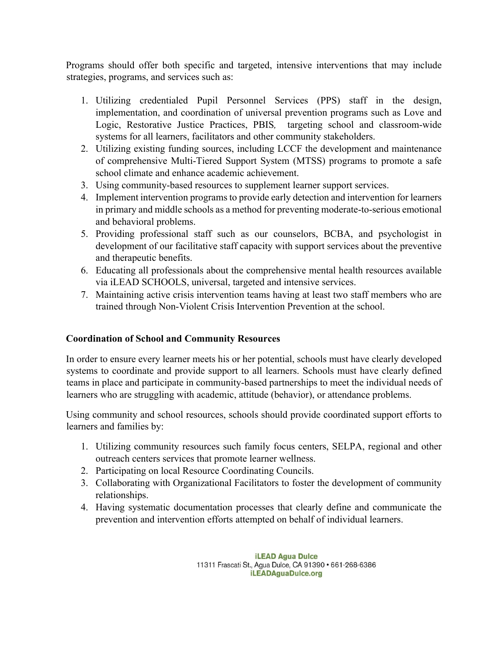Programs should offer both specific and targeted, intensive interventions that may include strategies, programs, and services such as:

- 1. Utilizing credentialed Pupil Personnel Services (PPS) staff in the design, implementation, and coordination of universal prevention programs such as Love and Logic, Restorative Justice Practices, PBIS*,* targeting school and classroom-wide systems for all learners, facilitators and other community stakeholders.
- 2. Utilizing existing funding sources, including LCCF the development and maintenance of comprehensive Multi-Tiered Support System (MTSS) programs to promote a safe school climate and enhance academic achievement.
- 3. Using community-based resources to supplement learner support services.
- 4. Implement intervention programs to provide early detection and intervention for learners in primary and middle schools as a method for preventing moderate-to-serious emotional and behavioral problems.
- 5. Providing professional staff such as our counselors, BCBA, and psychologist in development of our facilitative staff capacity with support services about the preventive and therapeutic benefits.
- 6. Educating all professionals about the comprehensive mental health resources available via iLEAD SCHOOLS, universal, targeted and intensive services.
- 7. Maintaining active crisis intervention teams having at least two staff members who are trained through Non-Violent Crisis Intervention Prevention at the school.

# **Coordination of School and Community Resources**

In order to ensure every learner meets his or her potential, schools must have clearly developed systems to coordinate and provide support to all learners. Schools must have clearly defined teams in place and participate in community-based partnerships to meet the individual needs of learners who are struggling with academic, attitude (behavior), or attendance problems.

Using community and school resources, schools should provide coordinated support efforts to learners and families by:

- 1. Utilizing community resources such family focus centers, SELPA, regional and other outreach centers services that promote learner wellness.
- 2. Participating on local Resource Coordinating Councils.
- 3. Collaborating with Organizational Facilitators to foster the development of community relationships.
- 4. Having systematic documentation processes that clearly define and communicate the prevention and intervention efforts attempted on behalf of individual learners.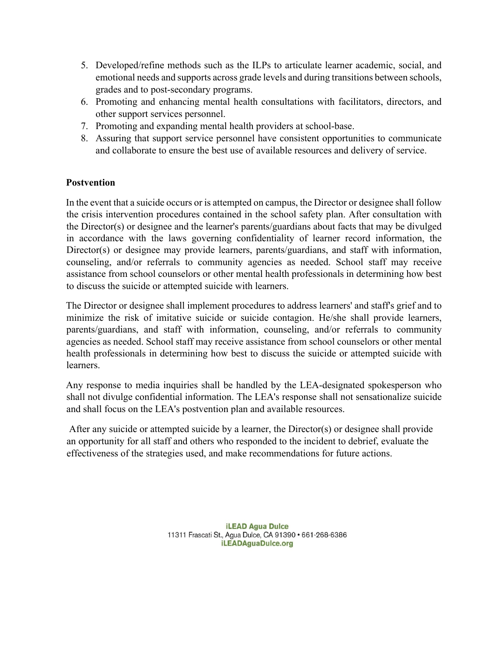- 5. Developed/refine methods such as the ILPs to articulate learner academic, social, and emotional needs and supports across grade levels and during transitions between schools, grades and to post-secondary programs.
- 6. Promoting and enhancing mental health consultations with facilitators, directors, and other support services personnel.
- 7. Promoting and expanding mental health providers at school-base.
- 8. Assuring that support service personnel have consistent opportunities to communicate and collaborate to ensure the best use of available resources and delivery of service.

# **Postvention**

In the event that a suicide occurs or is attempted on campus, the Director or designee shall follow the crisis intervention procedures contained in the school safety plan. After consultation with the Director(s) or designee and the learner's parents/guardians about facts that may be divulged in accordance with the laws governing confidentiality of learner record information, the Director(s) or designee may provide learners, parents/guardians, and staff with information, counseling, and/or referrals to community agencies as needed. School staff may receive assistance from school counselors or other mental health professionals in determining how best to discuss the suicide or attempted suicide with learners.

The Director or designee shall implement procedures to address learners' and staff's grief and to minimize the risk of imitative suicide or suicide contagion. He/she shall provide learners, parents/guardians, and staff with information, counseling, and/or referrals to community agencies as needed. School staff may receive assistance from school counselors or other mental health professionals in determining how best to discuss the suicide or attempted suicide with learners.

Any response to media inquiries shall be handled by the LEA-designated spokesperson who shall not divulge confidential information. The LEA's response shall not sensationalize suicide and shall focus on the LEA's postvention plan and available resources.

After any suicide or attempted suicide by a learner, the Director(s) or designee shall provide an opportunity for all staff and others who responded to the incident to debrief, evaluate the effectiveness of the strategies used, and make recommendations for future actions.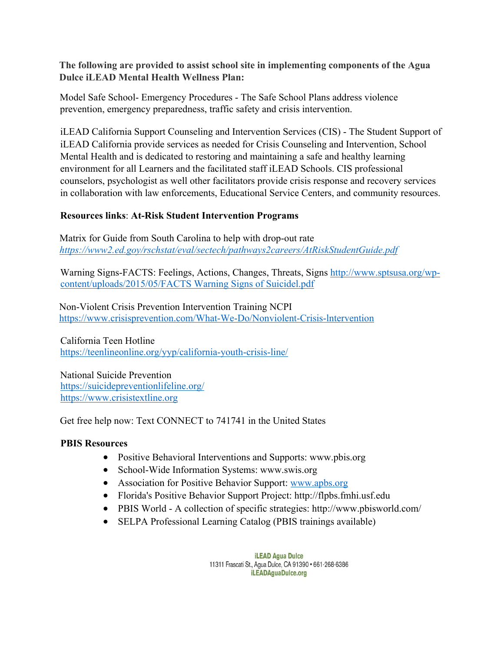# **The following are provided to assist school site in implementing components of the Agua Dulce iLEAD Mental Health Wellness Plan:**

Model Safe School- Emergency Procedures - The Safe School Plans address violence prevention, emergency preparedness, traffic safety and crisis intervention.

iLEAD California Support Counseling and Intervention Services (CIS) - The Student Support of iLEAD California provide services as needed for Crisis Counseling and Intervention, School Mental Health and is dedicated to restoring and maintaining a safe and healthy learning environment for all Learners and the facilitated staff iLEAD Schools. CIS professional counselors, psychologist as well other facilitators provide crisis response and recovery services in collaboration with law enforcements, Educational Service Centers, and community resources.

# **Resources links**: **At-Risk Student Intervention Programs**

Matrix for Guide from South Carolina to help with drop-out rate *https://www2.ed.goy/rschstat/eval/sectech/pathways2careers/AtRiskStudentGuide.pdf*

Warning Signs-FACTS: Feelings, Actions, Changes, Threats, Signs http://www.sptsusa.org/wpcontent/uploads/2015/05/FACTS Warning Signs of Suicidel.pdf

Non-Violent Crisis Prevention Intervention Training NCPI https://www.crisisprevention.com/What-We-Do/Nonviolent-Crisis-lntervention

California Teen Hotline https://teenlineonline.org/yyp/california-youth-crisis-line/

National Suicide Prevention https://suicidepreventionlifeline.org/ https://www.crisistextline.org

Get free help now: Text CONNECT to 741741 in the United States

# **PBIS Resources**

- Positive Behavioral Interventions and Supports: www.pbis.org
- School-Wide Information Systems: www.swis.org
- Association for Positive Behavior Support: www.apbs.org
- Florida's Positive Behavior Support Project: http://flpbs.fmhi.usf.edu
- PBIS World A collection of specific strategies: http://www.pbisworld.com/
- SELPA Professional Learning Catalog (PBIS trainings available)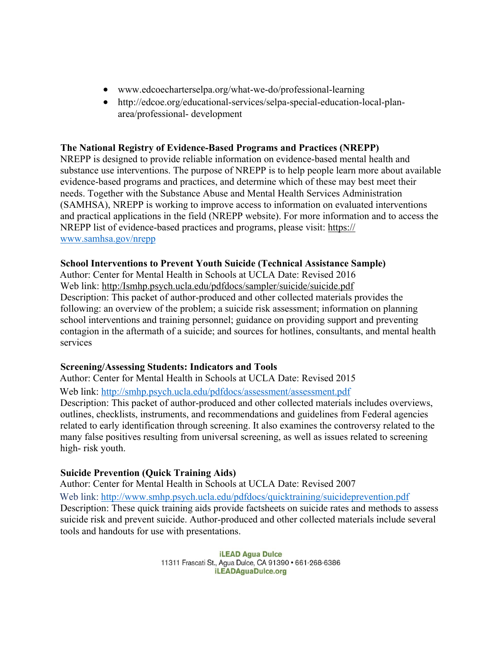- www.edcoecharterselpa.org/what-we-do/professional-learning
- http://edcoe.org/educational-services/selpa-special-education-local-planarea/professional- development

#### **The National Registry of Evidence-Based Programs and Practices (NREPP)**

NREPP is designed to provide reliable information on evidence-based mental health and substance use interventions. The purpose of NREPP is to help people learn more about available evidence-based programs and practices, and determine which of these may best meet their needs. Together with the Substance Abuse and Mental Health Services Administration (SAMHSA), NREPP is working to improve access to information on evaluated interventions and practical applications in the field (NREPP website). For more information and to access the NREPP list of evidence-based practices and programs, please visit: https:// www.samhsa.gov/nrepp

#### **School Interventions to Prevent Youth Suicide (Technical Assistance Sample)**

Author: Center for Mental Health in Schools at UCLA Date: Revised 2016 Web link: http:/Ismhp.psych.ucla.edu/pdfdocs/sampler/suicide/suicide.pdf Description: This packet of author-produced and other collected materials provides the following: an overview of the problem; a suicide risk assessment; information on planning school interventions and training personnel; guidance on providing support and preventing contagion in the aftermath of a suicide; and sources for hotlines, consultants, and mental health services

#### **Screening/Assessing Students: Indicators and Tools**

Author: Center for Mental Health in Schools at UCLA Date: Revised 2015 Web link: http://smhp.psych.ucla.edu/pdfdocs/assessment/assessment.pdf Description: This packet of author-produced and other collected materials includes overviews, outlines, checklists, instruments, and recommendations and guidelines from Federal agencies related to early identification through screening. It also examines the controversy related to the many false positives resulting from universal screening, as well as issues related to screening high- risk youth.

#### **Suicide Prevention (Quick Training Aids)**

Author: Center for Mental Health in Schools at UCLA Date: Revised 2007

Web link: http://www.smhp.psych.ucla.edu/pdfdocs/quicktraining/suicideprevention.pdf Description: These quick training aids provide factsheets on suicide rates and methods to assess suicide risk and prevent suicide. Author-produced and other collected materials include several tools and handouts for use with presentations.